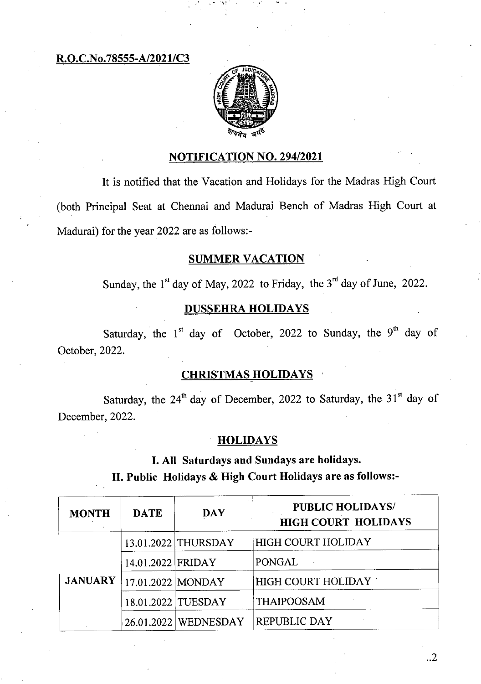**R.O.C.No.78555-A/2021/C3** 



### **NOTIFICATION NO. 294/2021**

It is notified that the Vacation and Holidays for the Madras High Court (both Principal Seat at Chennai and Madurai Bench of Madras High Court at Madurai) for the year 2022 are as follows:-

### SUMMER **VACATION**

Sunday, the  $1<sup>st</sup>$  day of May, 2022 to Friday, the  $3<sup>rd</sup>$  day of June, 2022.

# **DUSSEHRA HOLIDAYS**

Saturday, the  $1<sup>st</sup>$  day of October, 2022 to Sunday, the 9<sup>th</sup> day of October, 2022.

### **CHRISTMAS HOLIDAYS**

Saturday, the  $24<sup>th</sup>$  day of December, 2022 to Saturday, the 31 $<sup>st</sup>$  day of</sup> December, 2022.

# **HOLIDAYS**

**I. All Saturdays and Sundays are holidays.** 

**II. Public Holidays & High Court Holidays are as follows:-** 

| <b>MONTH</b>   | <b>DATE</b>       | <b>DAY</b>             | <b>PUBLIC HOLIDAYS/</b><br><b>HIGH COURT HOLIDAYS</b> |
|----------------|-------------------|------------------------|-------------------------------------------------------|
| <b>JANUARY</b> |                   | 13.01.2022 THURSDAY    | <b>HIGH COURT HOLIDAY</b>                             |
|                | 14.01.2022 FRIDAY |                        | <b>PONGAL</b>                                         |
|                |                   | 17.01.2022 MONDAY      | <b>HIGH COURT HOLIDAY</b>                             |
|                |                   | 18.01.2022 TUESDAY     | <b>THAIPOOSAM</b>                                     |
|                |                   | 26.01.2022   WEDNESDAY | <b>REPUBLIC DAY</b>                                   |

..2